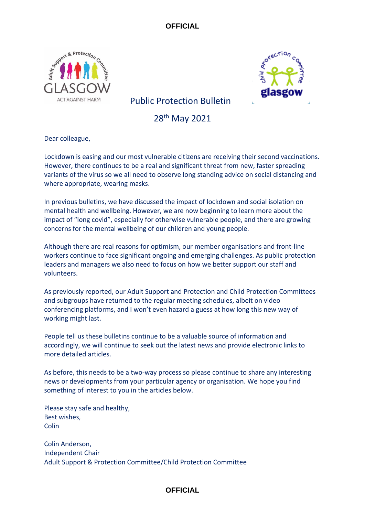



# Public Protection Bulletin

28th May 2021

Dear colleague,

Lockdown is easing and our most vulnerable citizens are receiving their second vaccinations. However, there continues to be a real and significant threat from new, faster spreading variants of the virus so we all need to observe long standing advice on social distancing and where appropriate, wearing masks.

In previous bulletins, we have discussed the impact of lockdown and social isolation on mental health and wellbeing. However, we are now beginning to learn more about the impact of "long covid", especially for otherwise vulnerable people, and there are growing concerns for the mental wellbeing of our children and young people.

Although there are real reasons for optimism, our member organisations and front-line workers continue to face significant ongoing and emerging challenges. As public protection leaders and managers we also need to focus on how we better support our staff and volunteers.

As previously reported, our Adult Support and Protection and Child Protection Committees and subgroups have returned to the regular meeting schedules, albeit on video conferencing platforms, and I won't even hazard a guess at how long this new way of working might last.

People tell us these bulletins continue to be a valuable source of information and accordingly, we will continue to seek out the latest news and provide electronic links to more detailed articles.

As before, this needs to be a two-way process so please continue to share any interesting news or developments from your particular agency or organisation. We hope you find something of interest to you in the articles below.

Please stay safe and healthy, Best wishes, Colin

Colin Anderson, Independent Chair Adult Support & Protection Committee/Child Protection Committee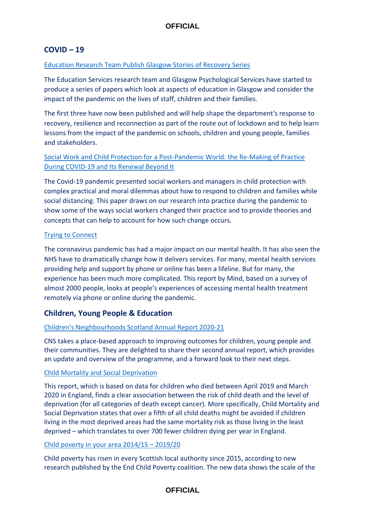# **COVID – 19**

### Education Research Team [Publish Glasgow Stories of Recovery Series](https://www.glasgow.gov.uk/index.aspx?articleid=25947)

The Education Services research team and Glasgow Psychological Services have started to produce a series of papers which look at aspects of education in Glasgow and consider the impact of the pandemic on the lives of staff, children and their families.

The first three have now been published and will help shape the department's response to recovery, resilience and reconnection as part of the route out of lockdown and to help learn lessons from the impact of the pandemic on schools, children and young people, families and stakeholders.

# [Social Work and Child Protection for a Post-Pandemic World: the Re-Making of Practice](https://www.tandfonline.com/doi/full/10.1080/02650533.2021.1922368)  [During COVID-19 and Its Renewal Beyond It](https://www.tandfonline.com/doi/full/10.1080/02650533.2021.1922368)

The Covid-19 pandemic presented social workers and managers in child protection with complex practical and moral dilemmas about how to respond to children and families while social distancing. This paper draws on our research into practice during the pandemic to show some of the ways social workers changed their practice and to provide theories and concepts that can help to account for how such change occurs.

### [Trying to Connect](https://www.mind.org.uk/media/7592/mind-20582-trying-to-connect-report-low-res.pdf)

The coronavirus pandemic has had a major impact on our mental health. It has also seen the NHS have to dramatically change how it delivers services. For many, mental health services providing help and support by phone or online has been a lifeline. But for many, the experience has been much more complicated. This report by Mind, based on a survey of almost 2000 people, looks at people's experiences of accessing mental health treatment remotely via phone or online during the pandemic.

# **Children, Young People & Education**

### [Children's Neighbourhoods Scotland Annual Report 2020](https://childrensneighbourhoods.scot/wp-content/uploads/2021/05/CNS-Annual-Report-20-21-final.pdf)-21

CNS takes a place-based approach to improving outcomes for children, young people and their communities. They are delighted to share their second annual report, which provides an update and overview of the programme, and a forward look to their next steps.

### [Child Mortality and Social Deprivation](https://www.ncmd.info/2021/05/13/dep-report-2021/)

This report, which is based on data for children who died between April 2019 and March 2020 in England, finds a clear association between the risk of child death and the level of deprivation (for all categories of death except cancer). More specifically, Child Mortality and Social Deprivation states that over a fifth of all child deaths might be avoided if children living in the most deprived areas had the same mortality risk as those living in the least deprived – which translates to over 700 fewer children dying per year in England.

### [Child poverty in your area 2014/15](https://www.endchildpoverty.org.uk/local-child-poverty-data-2014-15-2019-20/) – 2019/20

Child poverty has risen in every Scottish local authority since 2015, according to new research published by the End Child Poverty coalition. The new data shows the scale of the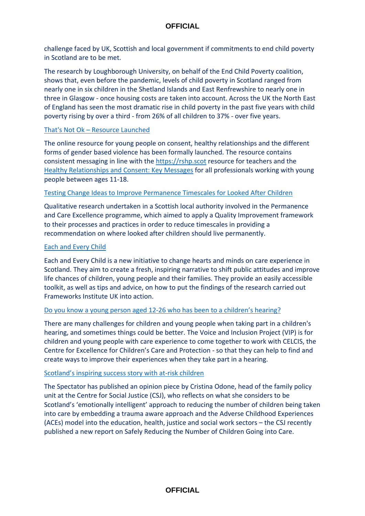challenge faced by UK, Scottish and local government if commitments to end child poverty in Scotland are to be met.

The research by Loughborough University, on behalf of the End Child Poverty coalition, shows that, even before the pandemic, levels of child poverty in Scotland ranged from nearly one in six children in the Shetland Islands and East Renfrewshire to nearly one in three in Glasgow - once housing costs are taken into account. Across the UK the North East of England has seen the most dramatic rise in child poverty in the past five years with child poverty rising by over a third - from 26% of all children to 37% - over five years.

### That's Not Ok – [Resource Launched](https://young.scot/campaigns/national/thatsnotok)

The online resource for young people on consent, healthy relationships and the different forms of gender based violence has been formally launched. The resource contains consistent messaging in line with the [https://rshp.scot](https://rshp.scot/) resource for teachers and the [Healthy Relationships and Consent: Key Messages](https://www.gov.scot/publications/key-messages-young-people-healthy-relationships-consent-resource-professionals-working-young-people/#:~:text=The%20messages%20set%20out%20that,%2C%20positive%2C%20healthy%20and%20enjoyable.&text=For%20others%2C%20the%20information%20will,%2Dconsensual%2C%20abusive%20or%20unhealthy.) for all professionals working with young people between ages 11-18.

#### [Testing Change Ideas to Improve Permanence Timescales for Looked After Children](https://www.celcis.org/knowledge-bank/search-bank/testing-change-ideas-improve-permanence-timescales-looked-after-children-experiences-two-week-planning-meeting/)

Qualitative research undertaken in a Scottish local authority involved in the Permanence and Care Excellence programme, which aimed to apply a Quality Improvement framework to their processes and practices in order to reduce timescales in providing a recommendation on where looked after children should live permanently.

#### [Each and Every Child](https://eachandeverychild.co.uk/the-toolkit/)

Each and Every Child is a new initiative to change hearts and minds on care experience in Scotland. They aim to create a fresh, inspiring narrative to shift public attitudes and improve life chances of children, young people and their families. They provide an easily accessible toolkit, as well as tips and advice, on how to put the findings of the research carried out Frameworks Institute UK into action.

### [Do you know a young person aged 12-26 who has bee](https://www.celcis.org/news/news-pages/voice-and-inclusion-project?utm_medium=email&utm_campaign=Voice%20and%20Inclusion%20Project%20VIP%20-%20for%20young%20people%20with%20experience%20of%20the%20hearings%20system&utm_content=Voice%20and%20Inclusion%20Project%20VIP%20-%20for%20young%20people%20with%20experience%20of%20the%20hearings%20system+CID_019976408ed7647e19ebcecdc200b51c&utm_source=Email%20marketing%20software&utm_term=Find%20out%20more)n to a children's hearing?

There are many challenges for children and young people when taking part in a children's hearing, and sometimes things could be better. The Voice and Inclusion Project (VIP) is for children and young people with care experience to come together to work with CELCIS, the Centre for Excellence for Children's Care and Protection - so that they can help to find and create ways to improve their experiences when they take part in a hearing.

### [Scotland's inspiring success story with at](https://www.spectator.co.uk/article/scotland-s-inspiring-success-story-with-at-risk-children)-risk children

The Spectator has published an opinion piece by Cristina Odone, head of the family policy unit at the Centre for Social Justice (CSJ), who reflects on what she considers to be Scotland's 'emotionally intelligent' approach to reducing the number of children being taken into care by embedding a trauma aware approach and the Adverse Childhood Experiences (ACEs) model into the education, health, justice and social work sectors – the CSJ recently published a new report on Safely Reducing the Number of Children Going into Care.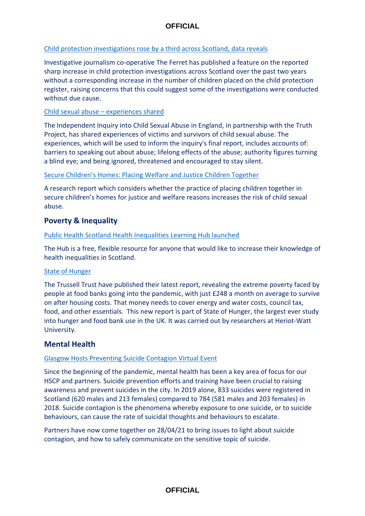## [Child protection investigations rose by a third across Scotland, data reveals](https://theferret.scot/child-protection-investigations-rose-by-third/)

Investigative journalism co-operative The Ferret has published a feature on the reported sharp increase in child protection investigations across Scotland over the past two years without a corresponding increase in the number of children placed on the child protection register, raising concerns that this could suggest some of the investigations were conducted without due cause.

### Child sexual abuse – [experiences shared](https://www.truthproject.org.uk/experiences-shared)

The Independent Inquiry into Child Sexual Abuse in England, in partnership with the Truth Project, has shared experiences of victims and survivors of child sexual abuse. The experiences, which will be used to inform the inquiry's final report, includes accounts of: barriers to speaking out about abuse; lifelong effects of the abuse; authority figures turning a blind eye; and being ignored, threatened and encouraged to stay silent.

### [Secure Children's Homes: Placing Welfare and Justice Children Together](https://www.gov.uk/government/publications/placing-children-for-welfare-and-justice-reasons-together-in-secure-childrens-homes)

A research report which considers whether the practice of placing children together in secure children's homes for justice and welfare reasons increases the risk of child sexual abuse.

# **Poverty & Inequality**

### [Public Health Scotland Health Inequalities Learning Hub launched](https://learning.publichealthscotland.scot/course/view.php?id=580&utm_medium=email&utm_source=govdelivery)

The Hub is a free, flexible resource for anyone that would like to increase their knowledge of health inequalities in Scotland.

## [State of Hunger](https://www.trusselltrust.org/state-of-hunger/)

The Trussell Trust have published their latest report, revealing the extreme poverty faced by people at food banks going into the pandemic, with just £248 a month on average to survive on after housing costs. That money needs to cover energy and water costs, council tax, food, and other essentials. This new report is part of State of Hunger, the largest ever study into hunger and food bank use in the UK. It was carried out by researchers at Heriot-Watt University.

## **Mental Health**

## [Glasgow Hosts Preventing Suicide Contagion Virtual Event](https://glasgowcity.hscp.scot/news/glasgow-hosts-preventing-suicide-contagion-virtual-event)

Since the beginning of the pandemic, mental health has been a key area of focus for our HSCP and partners. Suicide prevention efforts and training have been crucial to raising awareness and prevent suicides in the city. In 2019 alone, 833 suicides were registered in Scotland (620 males and 213 females) compared to 784 (581 males and 203 females) in 2018. Suicide contagion is the phenomena whereby exposure to one suicide, or to suicide behaviours, can cause the rate of suicidal thoughts and behaviours to escalate.

Partners have now come together on 28/04/21 to bring issues to light about suicide contagion, and how to safely communicate on the sensitive topic of suicide.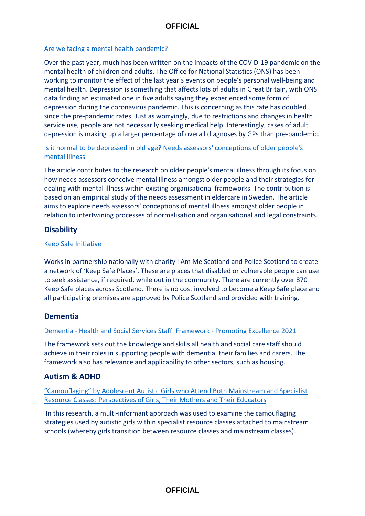## [Are we facing a mental health pandemic?](https://blog.ons.gov.uk/2021/05/05/are-we-facing-a-mental-health-pandemic/)

Over the past year, much has been written on the impacts of the COVID-19 pandemic on the mental health of children and adults. The Office for National Statistics (ONS) has been working to monitor the effect of the last year's events on people's personal well-being and mental health. Depression is something that affects lots of adults in Great Britain, with ONS data finding an estimated one in five adults saying they experienced some form of depression during the coronavirus pandemic. This is concerning as this rate has doubled since the pre-pandemic rates. Just as worryingly, due to restrictions and changes in health service use, people are not necessarily seeking medical help. Interestingly, cases of adult depression is making up a larger percentage of overall diagnoses by GPs than pre-pandemic.

## [Is it normal to be depressed in old age? Needs assessors' conceptions of older people's](https://onlinelibrary.wiley.com/doi/10.1111/hsc.13390)  [mental illness](https://onlinelibrary.wiley.com/doi/10.1111/hsc.13390)

The article contributes to the research on older people's mental illness through its focus on how needs assessors conceive mental illness amongst older people and their strategies for dealing with mental illness within existing organisational frameworks. The contribution is based on an empirical study of the needs assessment in eldercare in Sweden. The article aims to explore needs assessors' conceptions of mental illness amongst older people in relation to intertwining processes of normalisation and organisational and legal constraints.

# **Disability**

## [Keep Safe Initiative](https://iammescotlandeducation.org.uk/)

Works in partnership nationally with charity I Am Me Scotland and Police Scotland to create a network of 'Keep Safe Places'. These are places that disabled or vulnerable people can use to seek assistance, if required, while out in the community. There are currently over 870 Keep Safe places across Scotland. There is no cost involved to become a Keep Safe place and all participating premises are approved by Police Scotland and provided with training.

# **Dementia**

## Dementia - [Health and Social Services Staff: Framework -](https://www.gov.scot/publications/promoting-excellence-2021-framework-health-social-services-staff-working-people-dementia-families-carers/) Promoting Excellence 2021

The framework sets out the knowledge and skills all health and social care staff should achieve in their roles in supporting people with dementia, their families and carers. The framework also has relevance and applicability to other sectors, such as housing.

# **Autism & ADHD**

["Camouflaging" by Adolescent Autistic Girls who Attend Both Mainstream and Specialist](https://journals.sagepub.com/doi/10.1177/13623613211012819)  [Resource Classes: Perspectives of Girls, Their Mothers and Their Educators](https://journals.sagepub.com/doi/10.1177/13623613211012819)

In this research, a multi-informant approach was used to examine the camouflaging strategies used by autistic girls within specialist resource classes attached to mainstream schools (whereby girls transition between resource classes and mainstream classes).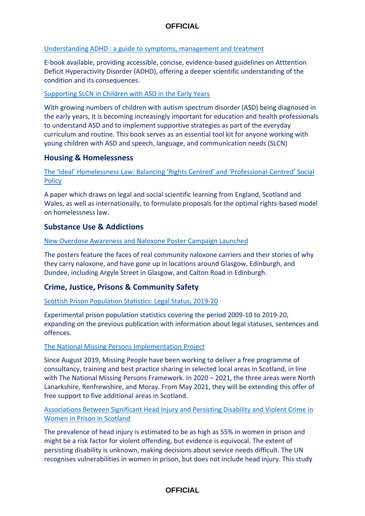## [Understanding ADHD : a guide to symptoms, management and treatment](https://nhs-scot-primo.hosted.exlibrisgroup.com/primo-explore/fulldisplay?docid=44NHSS_ALMA5156371280003491&vid=44NHSS_SSKS&search_scope=default_scope&tab=default_tab&lang=en_US&context=L)

E-book available, providing accessible, concise, evidence-based guidelines on Atttention Deficit Hyperactivity Disorder (ADHD), offering a deeper scientific understanding of the condition and its consequences.

## [Supporting SLCN in Children with ASD in the Early Years](https://nhs-scot-primo.hosted.exlibrisgroup.com/primo-explore/fulldisplay?docid=44NHSS_ALMA5156371370003491&vid=44NHSS_SSKS&search_scope=default_scope&tab=default_tab&lang=en_US&context=L)

With growing numbers of children with autism spectrum disorder (ASD) being diagnosed in the early years, it is becoming increasingly important for education and health professionals to understand ASD and to implement supportive strategies as part of the everyday curriculum and routine. This book serves as an essential tool kit for anyone working with young children with ASD and speech, language, and communication needs (SLCN)

# **Housing & Homelessness**

[The 'Ideal' Homelessness Law: Balancing 'Rights Centred' and 'Professional](https://www.tandfonline.com/doi/full/10.1080/09649069.2021.1917712)-Centred' Social **[Policy](https://www.tandfonline.com/doi/full/10.1080/09649069.2021.1917712)** 

A paper which draws on legal and social scientific learning from England, Scotland and Wales, as well as internationally, to formulate proposals for the optimal rights-based model on homelessness law.

# **Substance Use & Addictions**

### [New Overdose Awareness and Naloxone Poster Campaign Launched](http://www.sdf.org.uk/overdose-awareness-and-naloxone-posters-go-live-in-scotland/)

The posters feature the faces of real community naloxone carriers and their stories of why they carry naloxone, and have gone up in locations around Glasgow, Edinburgh, and Dundee, including Argyle Street in Glasgow, and Calton Road in Edinburgh.

# **Crime, Justice, Prisons & Community Safety**

[Scottish Prison Population Statistics: Legal Status, 2019-20](https://www.gov.scot/publications/scottish-prison-population-statistics-legal-status-2019-20/)

Experimental prison population statistics covering the period 2009-10 to 2019-20, expanding on the previous publication with information about legal statuses, sentences and offences.

### [The National Missing Persons Implementation](https://www.safercommunitiesscotland.org/2021/05/18/national-missing-persons-implementation-project/) Project

Since August 2019, Missing People have been working to deliver a free programme of consultancy, training and best practice sharing in selected local areas in Scotland, in line with The National Missing Persons Framework. In 2020 – 2021, the three areas were North Lanarkshire, Renfrewshire, and Moray. From May 2021, they will be extending this offer of free support to five additional areas in Scotland.

## [Associations Between Significant Head Injury and Persisting Disability and Violent Crime in](https://www.thelancet.com/journals/lanpsy/article/PIIS2215-0366(21)00082-1/fulltext)  [Women in Prison in Scotland](https://www.thelancet.com/journals/lanpsy/article/PIIS2215-0366(21)00082-1/fulltext)

The prevalence of head injury is estimated to be as high as 55% in women in prison and might be a risk factor for violent offending, but evidence is equivocal. The extent of persisting disability is unknown, making decisions about service needs difficult. The UN recognises vulnerabilities in women in prison, but does not include head injury. This study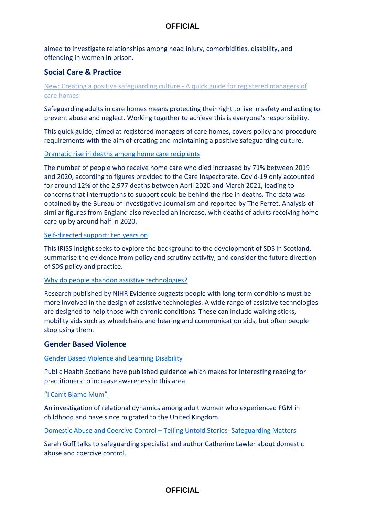aimed to investigate relationships among head injury, comorbidities, disability, and offending in women in prison.

# **Social Care & Practice**

# [New: Creating a positive safeguarding culture -](https://www.scie.org.uk/safeguarding/adults/practice/care-homes/culture?utm_campaign=12371178_SCIELine%2011%20May%202021&utm_medium=email&utm_source=SOCIAL%20CARE%20INSTITUTE%20FOR%20EXCELLENCE%20&utm_sfid=0036f00003O3X92AAF&utm_role=Other&dm_i=4O5,7D5NU,5J5GBF,TW7ZS,1) A quick guide for registered managers of [care homes](https://www.scie.org.uk/safeguarding/adults/practice/care-homes/culture?utm_campaign=12371178_SCIELine%2011%20May%202021&utm_medium=email&utm_source=SOCIAL%20CARE%20INSTITUTE%20FOR%20EXCELLENCE%20&utm_sfid=0036f00003O3X92AAF&utm_role=Other&dm_i=4O5,7D5NU,5J5GBF,TW7ZS,1)

Safeguarding adults in care homes means protecting their right to live in safety and acting to prevent abuse and neglect. Working together to achieve this is everyone's responsibility.

This quick guide, aimed at registered managers of care homes, covers policy and procedure requirements with the aim of creating and maintaining a positive safeguarding culture.

### [Dramatic rise in deaths among home care recipients](https://healthandcare.scot/default.asp?page=story&story=2604)

The number of people who receive home care who died increased by 71% between 2019 and 2020, according to figures provided to the Care Inspectorate. Covid-19 only accounted for around 12% of the 2,977 deaths between April 2020 and March 2021, leading to concerns that interruptions to support could be behind the rise in deaths. The data was obtained by the Bureau of Investigative Journalism and reported by The Ferret. Analysis of similar figures from England also revealed an increase, with deaths of adults receiving home care up by around half in 2020.

### [Self-directed support: ten years on](https://www.iriss.org.uk/resources/insights/self-directed-support-ten-years)

This IRISS Insight seeks to explore the background to the development of SDS in Scotland, summarise the evidence from policy and scrutiny activity, and consider the future direction of SDS policy and practice.

### [Why do people abandon assistive technologies?](https://evidence.nihr.ac.uk/alert/why-people-abandon-assistive-technologies-research-suggests-users-become-partners-in-design-users/)

Research published by NIHR Evidence suggests people with long-term conditions must be more involved in the design of assistive technologies. A wide range of assistive technologies are designed to help those with chronic conditions. These can include walking sticks, mobility aids such as wheelchairs and hearing and communication aids, but often people stop using them.

## **Gender Based Violence**

## [Gender Based Violence and Learning Disability](http://www.healthscotland.scot/media/3050/gender-based-violence-and-learning-disability-guidance-for-practitioners.pdf)

Public Health Scotland have published guidance which makes for interesting reading for practitioners to increase awareness in this area.

## ["I Can't Blame Mum"](https://journals.sagepub.com/doi/full/10.1177/1077801221994913)

An investigation of relational dynamics among adult women who experienced FGM in childhood and have since migrated to the United Kingdom.

Domestic Abuse and Coercive Control – [Telling Untold Stories -Safeguarding Matters](https://www.anncrafttrust.org/domestic-abuse-and-coercive-control-telling-untold-stories-safeguarding-matters/?utm_source=Ann+Craft+Trust&utm_campaign=ee11e56c8d-EMAIL_CAMPAIGN_2018_05_31_02_43_COPY_01&utm_medium=email&utm_term=0_d0139be1bf-ee11e56c8d-575981109)

Sarah Goff talks to safeguarding specialist and author Catherine Lawler about domestic abuse and coercive control.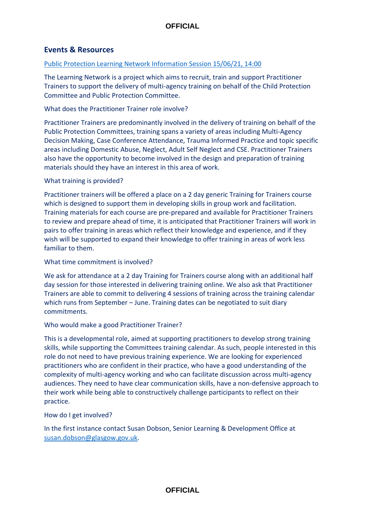# **Events & Resources**

### [Public Protection Learning Network Information Session 15/06/21, 14:00](mailto:susan.dobson@glasgow.gov.uk.)

The Learning Network is a project which aims to recruit, train and support Practitioner Trainers to support the delivery of multi-agency training on behalf of the Child Protection Committee and Public Protection Committee.

### What does the Practitioner Trainer role involve?

Practitioner Trainers are predominantly involved in the delivery of training on behalf of the Public Protection Committees, training spans a variety of areas including Multi-Agency Decision Making, Case Conference Attendance, Trauma Informed Practice and topic specific areas including Domestic Abuse, Neglect, Adult Self Neglect and CSE. Practitioner Trainers also have the opportunity to become involved in the design and preparation of training materials should they have an interest in this area of work.

### What training is provided?

Practitioner trainers will be offered a place on a 2 day generic Training for Trainers course which is designed to support them in developing skills in group work and facilitation. Training materials for each course are pre-prepared and available for Practitioner Trainers to review and prepare ahead of time, it is anticipated that Practitioner Trainers will work in pairs to offer training in areas which reflect their knowledge and experience, and if they wish will be supported to expand their knowledge to offer training in areas of work less familiar to them.

#### What time commitment is involved?

We ask for attendance at a 2 day Training for Trainers course along with an additional half day session for those interested in delivering training online. We also ask that Practitioner Trainers are able to commit to delivering 4 sessions of training across the training calendar which runs from September – June. Training dates can be negotiated to suit diary commitments.

#### Who would make a good Practitioner Trainer?

This is a developmental role, aimed at supporting practitioners to develop strong training skills, while supporting the Committees training calendar. As such, people interested in this role do not need to have previous training experience. We are looking for experienced practitioners who are confident in their practice, who have a good understanding of the complexity of multi-agency working and who can facilitate discussion across multi-agency audiences. They need to have clear communication skills, have a non-defensive approach to their work while being able to constructively challenge participants to reflect on their practice.

#### How do I get involved?

In the first instance contact Susan Dobson, Senior Learning & Development Office at [susan.dobson@glasgow.gov.uk.](mailto:susan.dobson@glasgow.gov.uk)